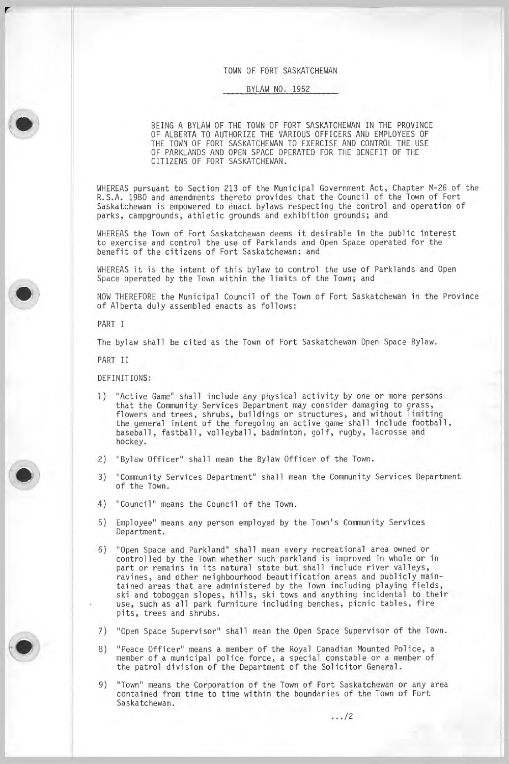## TOWN OF FORT SASKATCHEWAN

# BYLAW NO. 1952

BEING A BYLAW OF THE TOWN OF FORT SASKATCHEWAN IN THE PROVINCE OF ALBERTA TO AUTHORIZE THE VARIOUS OFFICERS AND EMPLOYEES OF THE TOWN OF FORT SASKATCHEWAN TO EXERCISE AND CONTROL THE USE OF PARKLANDS AND OPEN SPACE OPERATED FOR THE BENEFIT OF THE CITIZENS OF FORT SASKATCHEWAN.

WHEREAS pursuant to Section 213 of the Municipal Government Act, Chapter M-26 of the R. S. A. 1980 and amendments thereto provides that the Council of the Town of Fort Saskatchewan is empowered to enact bylaws respecting the control and operation of parks, campgrounds, athletic grounds and exhibition grounds; and

WHEREAS the Town of Fort Saskatchewan deems it desirable in the public interest to exercise and control the use of Parklands and Open Space operated for the benefit of the citizens of Fort Saskatchewan; and

WHEREAS it is the intent of this bylaw to control the use of Parklands and Open Space operated by the Town within the limits of the Town; and

NOW THEREFORE the Municipal Council of the Town of Fort Saskatchewan in the Province of Alberta duly assembled enacts as follows:

PART I

r

The bylaw shall be cited as the Town of Fort Saskatchewan Open Space Bylaw.

PART II

DEFINITIONS:

- 1) "Active Game" shall include any physical activity by one or more persons that the Community Services Department may consider damaging to grass, flowers and trees, shrubs, buildings or structures, and without limiting the general intent of the foregoing an active game shall include football , baseball , fastball , volleyball , badminton, golf, rugby, lacrosse and hockey.
- 2) "Bylaw Officer" shall mean the Bylaw Officer of the Town.
- 3) "Community Services Department" shall mean the Community Services Department of the Town.
- 4) "Council" means the Council of the Town.
- 5) Employee" means any person employed by the Town' s Community Services Department.
- 6) " Open Space and Parkland" shall mean every recreational area owned or controlled by the Town whether such parkland is improved in whole or in part or remains in its natural state but shall include river valleys, ravines, and other neighbourhood beautification areas and publicly maintained areas that are administered by the Town including playing fields, ski and toboggan slopes, hills, ski tows and anything incidental to their use, such as all park furniture including benches, picnic tables, fire pits, trees and shrubs.
- 7) " Open Space Supervisor" shall mean the Open Space Supervisor of the Town.
- 8) "Peace Officer" means a member of the Royal Canadian Mounted Police, a member of <sup>a</sup> municipal police force, <sup>a</sup> special constable or <sup>a</sup> member of the patrol division of the Department of the Solicitor General
- 9) "Town" means the Corporation of the Town of Fort Saskatchewan or any area contained from time to time within the boundaries of the Town of Fort Saskatchewan.

 $\ldots$ /2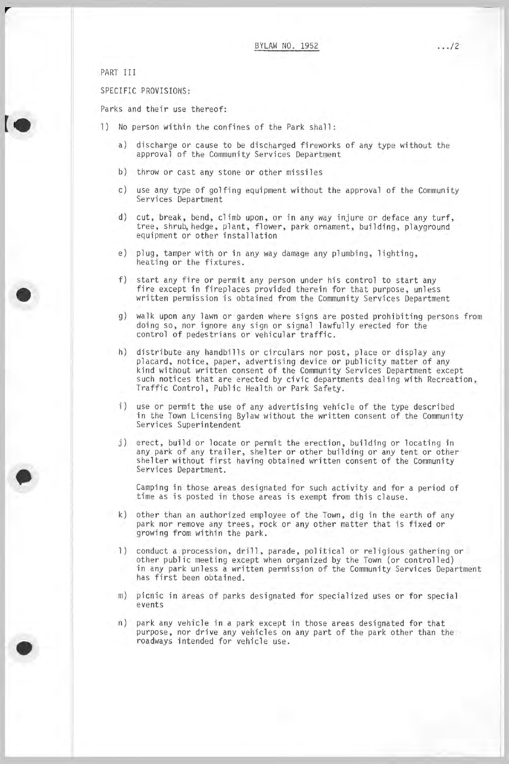PART III

r

SPECIFIC PROVISIONS:

Parks and their use thereof:

- 1) No person within the confines of the Park shall:
	- a) discharge or cause to be discharged fireworks of any type without the approval of the Community Services Department
	- b) throw or cast any stone or other missiles
	- c) use any type of golfing equipment without the approval of the Community Services Department
	- d) cut, break, bend, climb upon, or in any way injure or deface any turf, tree, shrub, hedge, plant, flower, park ornament, building, playground equipment or other installation
	- e) plug, tamper with or in any way damage any plumbing, lighting, heating or the fixtures.
	- f) start any fire or permit any person under his control to start any fire except in fireplaces provided therein for that purpose, unless written permission is obtained from the Community Services Department
	- g) walk upon any lawn or garden where signs are posted prohibiting persons from doing so, nor ignore any sign or signal lawfully erected for the control of pedestrians or vehicular traffic.
	- h) distribute any handbills or circulars nor post, place or display any placard, notice, paper, advertising device or publicity matter of any kind without written consent of the Community Services Department except such notices that are erected by civic departments dealing with Recreation , Traffic Control , Public Health or Park Safety.
	- i) use or permit the use of any advertising vehicle of the type described in the Town Licensing Bylaw without the written consent of the Community Services Superintendent
	- j) erect, build or locate or permit the erection, building or locating in any park of any trailer, shelter or other building or any tent or other shelter without first having obtained written consent of the Community Services Department.

Camping in those areas designated for such activity and for <sup>a</sup> period of time as is posted in those areas is exempt from this clause.

- k) other than an authorized employee of the Town, dig in the earth of any park nor remove any trees, rock or any other matter that is fixed or growing from within the park.
- 1) conduct a procession, drill, parade, political or religious gathering or other public meeting except when organized by the Town ( or controlled) in any park unless <sup>a</sup> written permission of the Community Services Department has first been obtained.
- m) picnic in areas of parks designated for specialized uses or for special events
- n) park any vehicle in <sup>a</sup> park except in those areas designated for that purpose, nor drive any vehicles on any part of the park other than the roadways intended for vehicle use.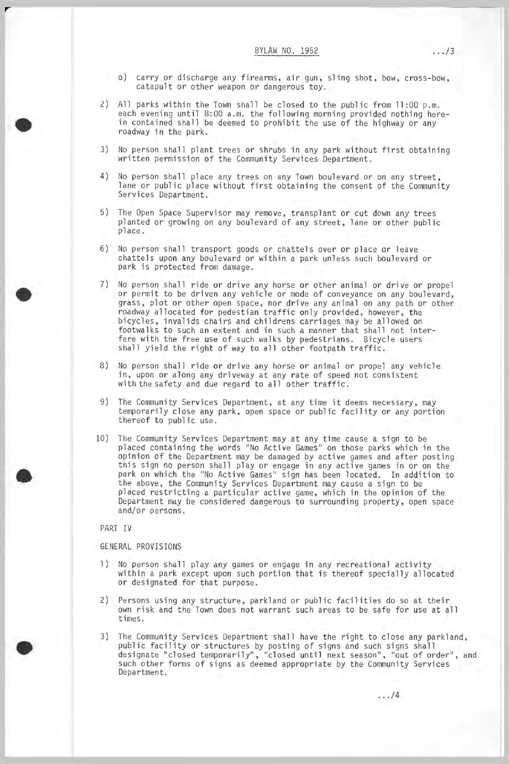- o) carry or discharge any firearms, air gun, sling shot, bow, cross-bow, catapult or other weapon or dangerous toy.
- 2) All parks within the Town shall be closed to the public from  $11:00$  p.m. each evening until 8:00 a.m. the following morning provided nothing herein contained shall be deemed to prohibit the use of the highway or any roadway in the park.
- 3) No person shall plant trees or shrubs in any park without first obtaining written permission of the Community Services Department.
- 4) No person shall place any trees on any Town boulevard or on any street, lane or public place without first obtaining the consent of the Community Services Department.
- 5) The Open Space Supervisor may remove, transplant or cut down any trees planted or growing on any boulevard of any street, lane or other public place.
- 6) No person shall transport goods or chattels over or place or leave chattels upon any boulevard or within <sup>a</sup> park unless such boulevard or park is protected from damage.
- 7) No person shall ride or drive any horse or other animal or drive or propel or permit to be driven any vehicle or mode of conveyance on any boulevard, grass, plot or other open space, nor drive any animal on any path or other roadway allocated for pedestian traffic only provided, however, the bicycles, invalids chairs and childrens carriages may be allowed on footwalks to such an extent and in such <sup>a</sup> manner that shall not interfere with the free use of such walks by pedestrians. Bicycle users shall yield the right of way to all other footpath traffic.
- 8) No person shall ride or drive any horse or animal or propel any vehicle in, upon or along any driveway at any rate of speed not consistent with the safety and due regard to all other traffic.
- 9) The Community Services Department, at any time it deems necessary, may temporarily close any park, open space or public facility or any portion thereof to public use.
- 10) The Community Services Department may at any time cause <sup>a</sup> sign to be placed containing the words " No Active Games" on those parks which in the opinion of the Department may be damaged by active games and after posting this sign no person shall play or engage in any active games in or on the park on which the "No Active Games" sign has been located. In addition to the above, the Community Services Department may cause <sup>a</sup> sign to be placed restricting <sup>a</sup> particular active game, which in the opinion of the Department may be considered dangerous to surrounding property, open space and/or persons.

# PART IV

r

GENERAL PROVISIONS

- 1) No person shall play any games or engage in any recreational activity within <sup>a</sup> park except upon such portion that is thereof specially allocated or designated for that purpose.
- 2) Persons using any structure, parkland or public facilities do so at their own risk and the Town does not warrant such areas to be safe for use at all times.
- 3) The Community Services Department shall have the right to close any parkland, public facility or structures by posting of signs and such signs shall designate "closed temporarily", "closed until next season", "out of order", and such other forms of signs as deemed appropriate by the Community Services Department.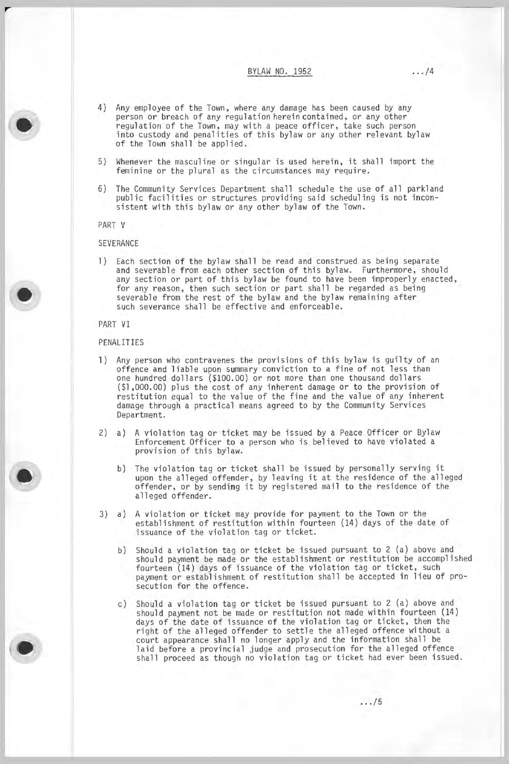BYLAW NO. 1952 .../4

- 4) Any employee of the Town, where any damage has been caused by any person or breach of any regulation herein contained, or any other regulation of the Town, may with <sup>a</sup> peace officer, take such person into custody and penalities of this bylaw or any other relevant bylaw of the Town shall be applied.
- 5) Whenever the masculine or singular is used herein, it shall import the feminine or the plural as the circumstances may require.
- 6) The Community Services Department shall schedule the use of all parkland public facilities or structures providing said scheduling is not inconsistent with this bylaw or any other bylaw of the Town.

PART V

r

### SEVERANCE

1) Each section of the bylaw shall be read and construed as being separate and severable from each other section of this bylaw. Furthermore, should any section or part of this bylaw be found to have been improperly enacted, for any reason, then such section or part shall be regarded as being severable from the rest of the bylaw and the bylaw remaining after such severance shall be effective and enforceable.

PART VI

## PENALITIES

- 1) Any person who contravenes the provisions of this bylaw is guilty of an offence and liable upon summary conviction to <sup>a</sup> fine of not less than one hundred dollars (\$100. 00) or not more than one thousand dollars 1 , 000. 00) plus the cost of any inherent damage or to the provision of restitution equal to the value of the fine and the value of any inherent damage through <sup>a</sup> practical means agreed to by the Community Services Department.
- 2) a) <sup>A</sup> violation tag or ticket may be issued by <sup>a</sup> Peace Officer or Bylaw Enforcement Officer to <sup>a</sup> person who is believed to have violated <sup>a</sup> provision of this bylaw.
	- b) The violation tag or ticket shall be issued by personally serving it upon the alleged offender, by leaving it at the residence of the alleged offender, or by sending it by registered mail to the residence of the alleged offender.
- 3) a) <sup>A</sup> violation or ticket may provide for payment to the Town or the establishment of restitution within fourteen ( 14) days of the date of issuance of the violation tag or ticket.
	- b) Should a violation tag or ticket be issued pursuant to 2 (a) above and should payment be made or the establishment or restitution be accomplished fourteen ( 14) days of issuance of the violation tag or ticket, such payment or establishment of restitution shall be accepted in lieu of prosecution for the offence.
	- c) Should a violation tag or ticket be issued pursuant to 2 (a) above and should payment not be made or restitution not made within fourteen ( 14) days of the date of issuance of the violation tag or ticket, then the right of the alleged offender to settle the alleged offence without <sup>a</sup> court appearance shall no longer apply and the information shall be laid before a provincial judge and prosecution for the alleged offence shall proceed as though no violation tag or ticket had ever been issued.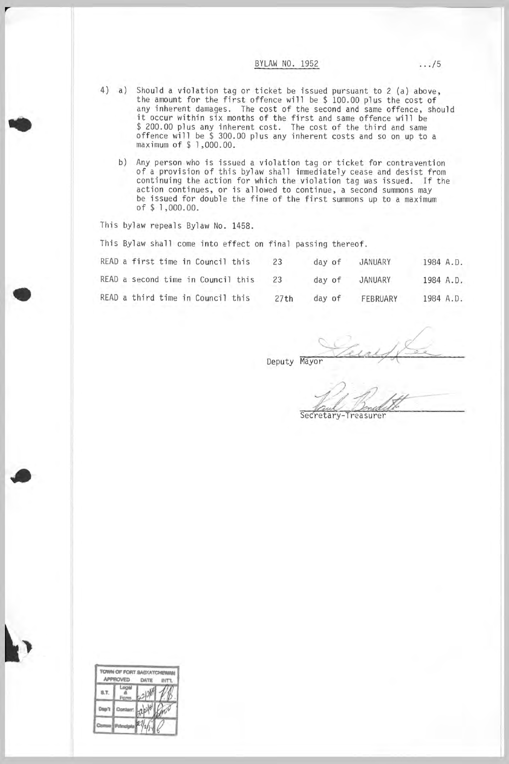## BYLAW NO. 1952 .../5

- 4) a) Should a violation tag or ticket be issued pursuant to 2 (a) above the amount for the first offence will be \$ 100. <sup>00</sup> plus the cost of any inherent damages. The cost of the second and same offence, should it occur within six months of the first and same offence will be 200. <sup>00</sup> plus any inherent cost. The cost of the third and same offence will be \$ 300. <sup>00</sup> plus any inherent costs and so on up to <sup>a</sup> maximum of \$ 1 , 000. 00.
	- b) Any person who is issued a violation tag or ticket for contraventic of <sup>a</sup> provision of this bylaw shall immediately cease and desist from continuing the action for which the violation tag was issued. If the action continues, or is allowed to continue, a second summons may be issued for double the fine of the first summons up to a maximum of \$ 1 , 000. 00.

This bylaw repeals Bylaw No. 1458.

r

This Bylaw shall come into effect on final passing thereof.

| READ a first time in Council this  | 23   | day of | JANUARY  | 1984 A.D. |
|------------------------------------|------|--------|----------|-----------|
| READ a second time in Council this | 23   | day of | JANUARY  | 1984 A.D. |
| READ a third time in Council this  | 27th | day of | FEBRUARY | 1984 A.D. |

Deputy Mayor

Secretary-Treasurer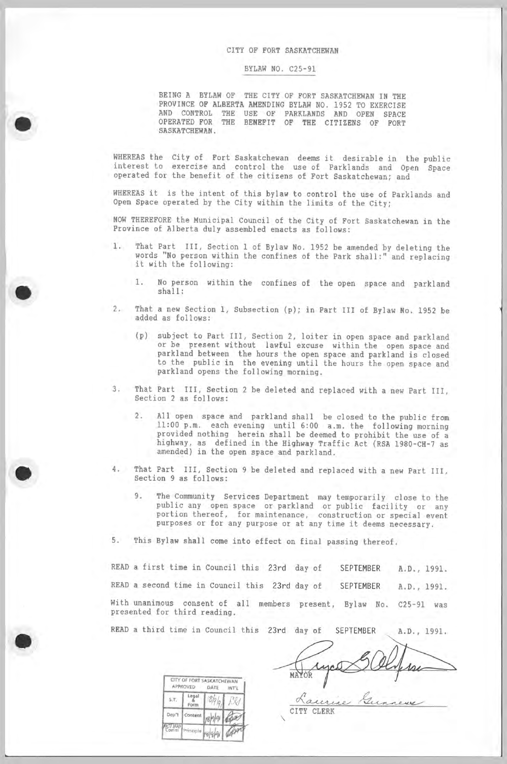#### CITY OF FORT SASKATCHEWAN

### BYLAW NO. C25-91

BEING A BYLAW OF THE CITY OF FORT SASKATCHEWAN IN THE PROVINCE OF ALBERTA AMENDING BYLAW NO. 1952 TO EXERCISE AND CONTROL THE USE OF PARKLANDS AND OPEN SPAC OPERATED FOR THE BENEFIT OF THE CITIZENS OF FORT SASKATCHEWAN.

WHEREAS the City of Fort Saskatchewan deems it desirable in the public interest to exercise and control the use of Parklands and Open Space operated for the benefit of the citizens of Fort Saskatchewan; and

WHEREAS it is the intent of this bylaw to control the use of Parklands and Open Space operated by the City within the limits of the City;

NOW THEREFORE the Municipal Council of the City of Fort Saskatchewan in the Province of Alberta duly assembled enacts as follows:

- 1. That Part III, Section <sup>1</sup> of Bylaw No. <sup>1952</sup> be amended by deleting the words " No person within the confines of the Park shall :" and replacing it with the following:
	- 1. No person within the confines of the open space and parkland shall :
	- 2. That a new Section 1, Subsection (p); in Part III of Bylaw No. 1952 be added as follows:
		- p) subject to Part III , Section 2, loiter in open space and parkland or be present without lawful excuse within the open space and parkland between the hours the open space and parkland is closed to the public in the evening until the hours the open space and parkland opens the following morning.
	- 3. That Part III, Section <sup>2</sup> be deleted and replaced with <sup>a</sup> new Part III , Section <sup>2</sup> as follows:
		- 2. All open space and parkland shall be closed to the public from 11: <sup>00</sup> p. m. each evening until 6: <sup>00</sup> a. m. the following morning provided nothing herein shall be deemed to prohibit the use of <sup>a</sup> highway, as defined in the Highway Traffic Act (RSA 1980-CH-7 as amended) in the open space and parkland.
	- 4. That Part III, Section <sup>9</sup> be deleted and replaced with <sup>a</sup> new Part III , Section <sup>9</sup> as follows:
		- 9. The Community Services Department may temporarily close to the public any open space or parkland or public facility or any portion thereof, for maintenance, construction or special event purposes or for any purpose or at any time it deems necessary.
	- 5. This Bylaw shall come into effect on final passing thereof.

READ a first time in Council this 23rd day of SEPTEMBER A.D., 1991. READ a second time in Council this 23rd day of SEPTEMBER A.D., 1991. With unanimous consent of all members present, Bylaw No. C25-91 was presented for third reading.

READ a third time in Council this 23rd day of SEPTEMBER A.D., 1991.

CITY CLERK

Laurin

MAYO

|                | <b>APPROVED</b> | CITY OF FORT SASKATCHEWAN<br>DATE<br>INT'L |  |  |
|----------------|-----------------|--------------------------------------------|--|--|
| S.T.           | ËΟ              | 3/2.1                                      |  |  |
| Dep't          | Content         |                                            |  |  |
| CI INO<br>Comm | Princip         |                                            |  |  |